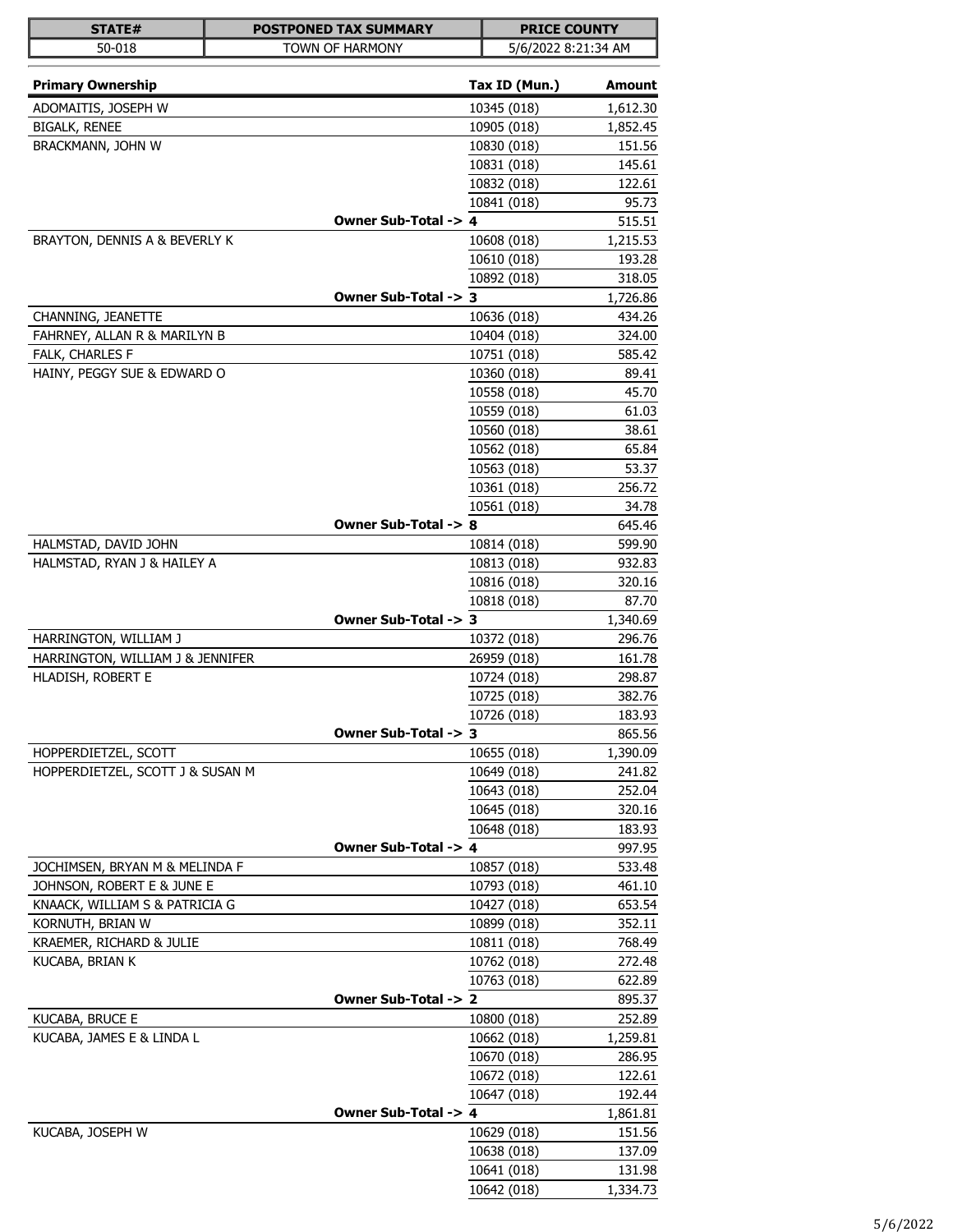| STATE#                           | <b>POSTPONED TAX SUMMARY</b> | <b>PRICE COUNTY</b> |                    |
|----------------------------------|------------------------------|---------------------|--------------------|
| 50-018                           | TOWN OF HARMONY              | 5/6/2022 8:21:34 AM |                    |
|                                  |                              |                     |                    |
| <b>Primary Ownership</b>         |                              | Tax ID (Mun.)       | Amount             |
| ADOMAITIS, JOSEPH W              |                              | 10345 (018)         | 1,612.30           |
| <b>BIGALK, RENEE</b>             |                              | 10905 (018)         | 1,852.45           |
| BRACKMANN, JOHN W                |                              | 10830 (018)         | 151.56             |
|                                  |                              | 10831 (018)         | 145.61             |
|                                  |                              | 10832 (018)         | 122.61             |
|                                  |                              | 10841 (018)         | 95.73              |
|                                  | Owner Sub-Total -> 4         |                     | 515.51             |
| BRAYTON, DENNIS A & BEVERLY K    |                              | 10608 (018)         | 1,215.53<br>193.28 |
|                                  |                              | 10610 (018)         |                    |
|                                  | Owner Sub-Total -> 3         | 10892 (018)         | 318.05<br>1,726.86 |
| CHANNING, JEANETTE               |                              | 10636 (018)         | 434.26             |
| FAHRNEY, ALLAN R & MARILYN B     |                              | 10404 (018)         | 324.00             |
| FALK, CHARLES F                  |                              | 10751 (018)         | 585.42             |
| HAINY, PEGGY SUE & EDWARD O      |                              | 10360 (018)         | 89.41              |
|                                  |                              | 10558 (018)         | 45.70              |
|                                  |                              | 10559 (018)         | 61.03              |
|                                  |                              | 10560 (018)         | 38.61              |
|                                  |                              | 10562 (018)         | 65.84              |
|                                  |                              | 10563 (018)         | 53.37              |
|                                  |                              | 10361 (018)         | 256.72             |
|                                  |                              | 10561 (018)         | 34.78              |
|                                  | Owner Sub-Total -> 8         |                     | 645.46             |
| HALMSTAD, DAVID JOHN             |                              | 10814 (018)         | 599.90             |
| HALMSTAD, RYAN J & HAILEY A      |                              | 10813 (018)         | 932.83             |
|                                  |                              | 10816 (018)         | 320.16             |
|                                  |                              | 10818 (018)         | 87.70              |
|                                  | Owner Sub-Total -> 3         |                     | 1,340.69           |
| HARRINGTON, WILLIAM J            |                              | 10372 (018)         | 296.76             |
| HARRINGTON, WILLIAM J & JENNIFER |                              | 26959 (018)         | 161.78             |
| HLADISH, ROBERT E                |                              | 10724 (018)         | 298.87             |
|                                  |                              | 10725 (018)         | 382.76             |
|                                  |                              | 10726 (018)         | 183.93             |
|                                  | Owner Sub-Total -> 3         |                     | 865.56             |
| HOPPERDIETZEL, SCOTT             |                              | 10655 (018)         | 1,390.09           |
| HOPPERDIETZEL, SCOTT J & SUSAN M |                              | 10649 (018)         | 241.82             |
|                                  |                              | 10643 (018)         | 252.04             |
|                                  |                              | 10645 (018)         | 320.16             |
|                                  |                              | 10648 (018)         | 183.93             |
|                                  | Owner Sub-Total -> 4         |                     | 997.95             |
| JOCHIMSEN, BRYAN M & MELINDA F   |                              | 10857 (018)         | 533.48             |
| JOHNSON, ROBERT E & JUNE E       |                              | 10793 (018)         | 461.10             |
| KNAACK, WILLIAM S & PATRICIA G   |                              | 10427 (018)         | 653.54             |
| KORNUTH, BRIAN W                 |                              | 10899 (018)         | 352.11             |
| KRAEMER, RICHARD & JULIE         |                              | 10811 (018)         | 768.49             |
| KUCABA, BRIAN K                  |                              | 10762 (018)         | 272.48             |
|                                  |                              | 10763 (018)         | 622.89             |
|                                  | Owner Sub-Total -> 2         |                     | 895.37             |
| KUCABA, BRUCE E                  |                              | 10800 (018)         | 252.89             |
| KUCABA, JAMES E & LINDA L        |                              | 10662 (018)         | 1,259.81           |
|                                  |                              | 10670 (018)         | 286.95             |
|                                  |                              | 10672 (018)         | 122.61             |
|                                  |                              | 10647 (018)         | 192.44             |
|                                  | Owner Sub-Total -> 4         |                     | 1,861.81           |
| KUCABA, JOSEPH W                 |                              | 10629 (018)         | 151.56             |
|                                  |                              | 10638 (018)         | 137.09             |
|                                  |                              | 10641 (018)         | 131.98             |
|                                  |                              | 10642 (018)         | 1,334.73           |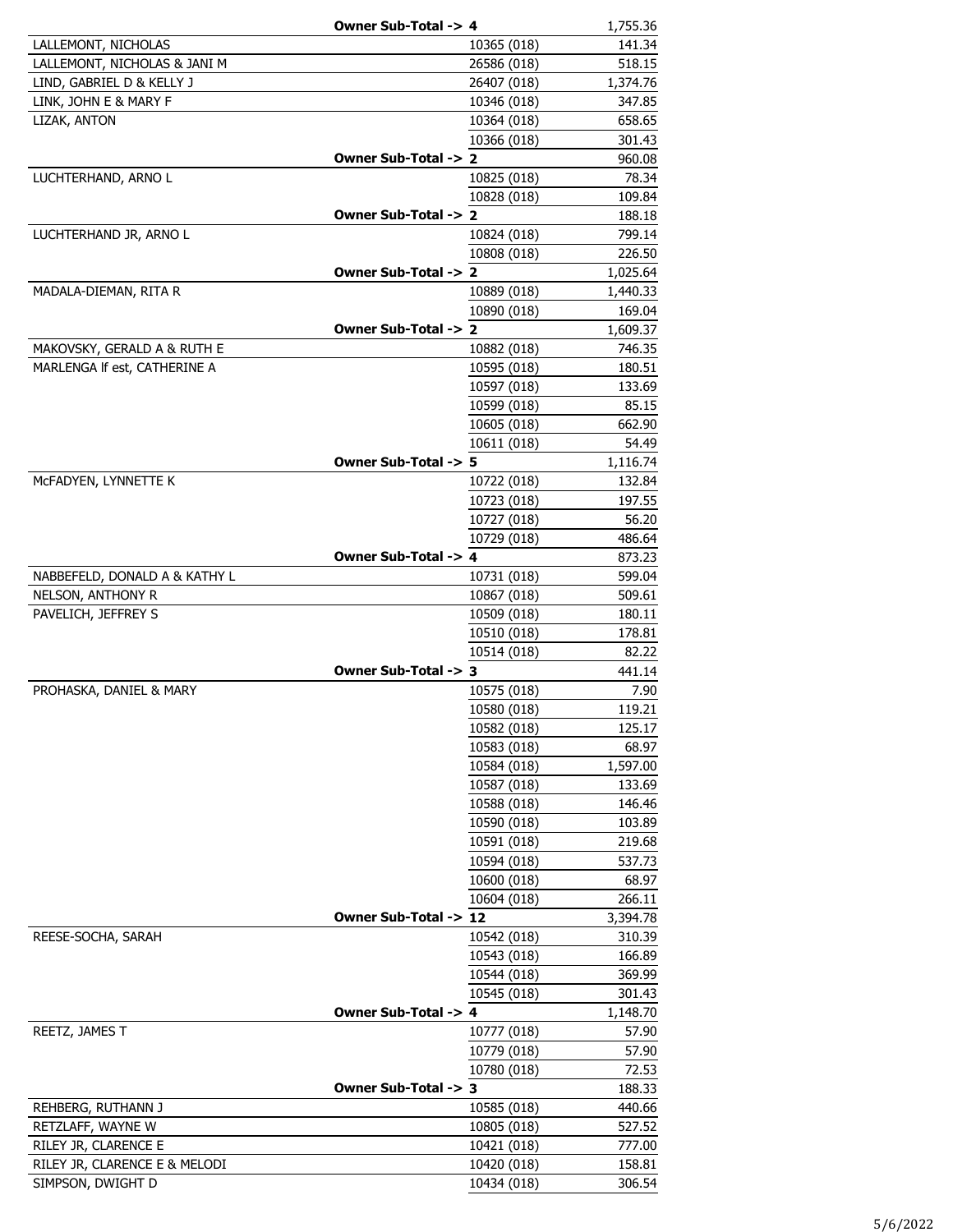|                               | Owner Sub-Total -> 4  |             | 1,755.36 |
|-------------------------------|-----------------------|-------------|----------|
| LALLEMONT, NICHOLAS           |                       | 10365 (018) | 141.34   |
| LALLEMONT, NICHOLAS & JANI M  |                       | 26586 (018) | 518.15   |
| LIND, GABRIEL D & KELLY J     |                       | 26407 (018) | 1,374.76 |
| LINK, JOHN E & MARY F         |                       | 10346 (018) | 347.85   |
| LIZAK, ANTON                  |                       | 10364 (018) | 658.65   |
|                               |                       | 10366 (018) | 301.43   |
|                               | Owner Sub-Total -> 2  |             | 960.08   |
| LUCHTERHAND, ARNO L           |                       | 10825 (018) | 78.34    |
|                               |                       | 10828 (018) | 109.84   |
|                               | Owner Sub-Total -> 2  |             | 188.18   |
| LUCHTERHAND JR, ARNO L        |                       | 10824 (018) | 799.14   |
|                               |                       | 10808 (018) | 226.50   |
|                               | Owner Sub-Total -> 2  |             | 1,025.64 |
| MADALA-DIEMAN, RITA R         |                       | 10889 (018) | 1,440.33 |
|                               |                       | 10890 (018) | 169.04   |
|                               | Owner Sub-Total -> 2  |             | 1,609.37 |
| MAKOVSKY, GERALD A & RUTH E   |                       | 10882 (018) | 746.35   |
| MARLENGA If est, CATHERINE A  |                       | 10595 (018) | 180.51   |
|                               |                       | 10597 (018) | 133.69   |
|                               |                       | 10599 (018) | 85.15    |
|                               |                       | 10605 (018) | 662.90   |
|                               |                       | 10611 (018) | 54.49    |
|                               | Owner Sub-Total -> 5  |             | 1,116.74 |
| McFADYEN, LYNNETTE K          |                       | 10722 (018) | 132.84   |
|                               |                       | 10723 (018) | 197.55   |
|                               |                       | 10727 (018) | 56.20    |
|                               |                       | 10729 (018) | 486.64   |
|                               | Owner Sub-Total -> 4  |             | 873.23   |
| NABBEFELD, DONALD A & KATHY L |                       | 10731 (018) | 599.04   |
| NELSON, ANTHONY R             |                       | 10867 (018) | 509.61   |
| PAVELICH, JEFFREY S           |                       | 10509 (018) | 180.11   |
|                               |                       | 10510 (018) | 178.81   |
|                               |                       | 10514 (018) | 82.22    |
|                               | Owner Sub-Total -> 3  |             | 441.14   |
| PROHASKA, DANIEL & MARY       |                       | 10575 (018) | 7.90     |
|                               |                       | 10580 (018) | 119.21   |
|                               |                       | 10582 (018) | 125.17   |
|                               |                       | 10583 (018) | 68.97    |
|                               |                       | 10584 (018) | 1,597.00 |
|                               |                       | 10587 (018) | 133.69   |
|                               |                       | 10588 (018) | 146.46   |
|                               |                       | 10590 (018) | 103.89   |
|                               |                       | 10591 (018) | 219.68   |
|                               |                       | 10594 (018) | 537.73   |
|                               |                       | 10600 (018) | 68.97    |
|                               |                       | 10604 (018) | 266.11   |
|                               | Owner Sub-Total -> 12 |             | 3,394.78 |
| REESE-SOCHA, SARAH            |                       | 10542 (018) | 310.39   |
|                               |                       | 10543 (018) | 166.89   |
|                               |                       | 10544 (018) | 369.99   |
|                               |                       | 10545 (018) | 301.43   |
|                               | Owner Sub-Total -> 4  |             | 1,148.70 |
| REETZ, JAMES T                |                       | 10777 (018) | 57.90    |
|                               |                       | 10779 (018) | 57.90    |
|                               |                       | 10780 (018) | 72.53    |
|                               | Owner Sub-Total -> 3  |             | 188.33   |
| REHBERG, RUTHANN J            |                       | 10585 (018) | 440.66   |
| RETZLAFF, WAYNE W             |                       | 10805 (018) | 527.52   |
| RILEY JR, CLARENCE E          |                       | 10421 (018) | 777.00   |
| RILEY JR, CLARENCE E & MELODI |                       | 10420 (018) | 158.81   |
| SIMPSON, DWIGHT D             |                       | 10434 (018) | 306.54   |